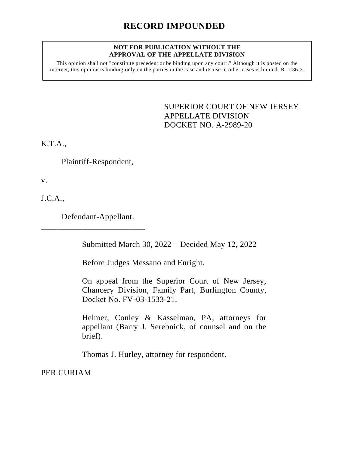## **NOT FOR PUBLICATION WITHOUT THE APPROVAL OF THE APPELLATE DIVISION**

This opinion shall not "constitute precedent or be binding upon any court." Although it is posted on the internet, this opinion is binding only on the parties in the case and its use in other cases is limited. R. 1:36-3.

> <span id="page-0-0"></span>SUPERIOR COURT OF NEW JERSEY APPELLATE DIVISION DOCKET NO. A-2989-20

K.T.A.,

Plaintiff-Respondent,

v.

J.C.A.,

Defendant-Appellant.

\_\_\_\_\_\_\_\_\_\_\_\_\_\_\_\_\_\_\_\_\_\_\_\_\_

Submitted March 30, 2022 – Decided May 12, 2022

Before Judges Messano and Enright.

On appeal from the Superior Court of New Jersey, Chancery Division, Family Part, Burlington County, Docket No. FV-03-1533-21.

Helmer, Conley & Kasselman, PA, attorneys for appellant (Barry J. Serebnick, of counsel and on the brief).

Thomas J. Hurley, attorney for respondent.

PER CURIAM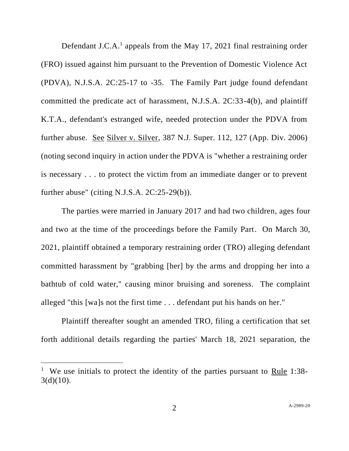Defendant J.C.A.<sup>1</sup> appeals from the May 17, 2021 final restraining order (FRO) issued against him pursuant to the Prevention of Domestic Violence Act (PDVA), N.J.S.A. 2C:25-17 to -35. The Family Part judge found defendant committed the predicate act of harassment, N.J.S.A. 2C:33-4(b), and plaintiff K.T.A., defendant's estranged wife, needed protection under the PDVA from further abuse. See Silver v. Silver, 387 N.J. Super. 112, 127 (App. Div. 2006) (noting second inquiry in action under the PDVA is "whether a restraining order is necessary . . . to protect the victim from an immediate danger or to prevent further abuse" (citing N.J.S.A. 2C:25-29(b)).

The parties were married in January 2017 and had two children, ages four and two at the time of the proceedings before the Family Part. On March 30, 2021, plaintiff obtained a temporary restraining order (TRO) alleging defendant committed harassment by "grabbing [her] by the arms and dropping her into a bathtub of cold water," causing minor bruising and soreness. The complaint alleged "this [wa]s not the first time . . . defendant put his hands on her."

Plaintiff thereafter sought an amended TRO, filing a certification that set forth additional details regarding the parties' March 18, 2021 separation, the

<sup>&</sup>lt;sup>1</sup> We use initials to protect the identity of the parties pursuant to Rule 1:38- $3(d)(10)$ .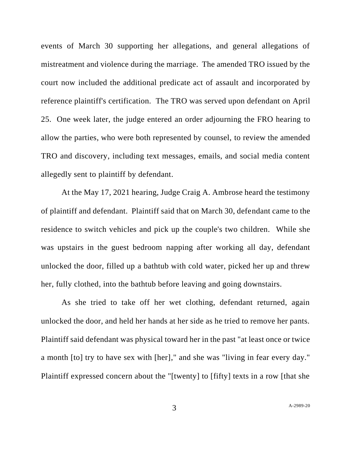events of March 30 supporting her allegations, and general allegations of mistreatment and violence during the marriage. The amended TRO issued by the court now included the additional predicate act of assault and incorporated by reference plaintiff's certification. The TRO was served upon defendant on April 25. One week later, the judge entered an order adjourning the FRO hearing to allow the parties, who were both represented by counsel, to review the amended TRO and discovery, including text messages, emails, and social media content allegedly sent to plaintiff by defendant.

At the May 17, 2021 hearing, Judge Craig A. Ambrose heard the testimony of plaintiff and defendant. Plaintiff said that on March 30, defendant came to the residence to switch vehicles and pick up the couple's two children. While she was upstairs in the guest bedroom napping after working all day, defendant unlocked the door, filled up a bathtub with cold water, picked her up and threw her, fully clothed, into the bathtub before leaving and going downstairs.

As she tried to take off her wet clothing, defendant returned, again unlocked the door, and held her hands at her side as he tried to remove her pants. Plaintiff said defendant was physical toward her in the past "at least once or twice a month [to] try to have sex with [her]," and she was "living in fear every day." Plaintiff expressed concern about the "[twenty] to [fifty] texts in a row [that she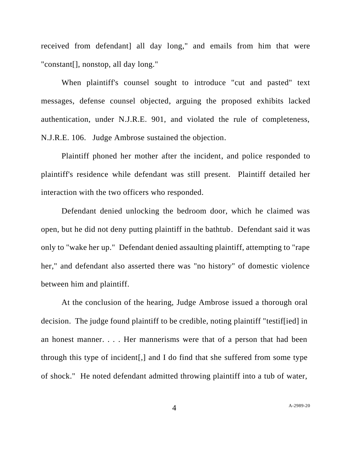received from defendant] all day long," and emails from him that were "constant[], nonstop, all day long."

When plaintiff's counsel sought to introduce "cut and pasted" text messages, defense counsel objected, arguing the proposed exhibits lacked authentication, under N.J.R.E. 901, and violated the rule of completeness, N.J.R.E. 106. Judge Ambrose sustained the objection.

Plaintiff phoned her mother after the incident, and police responded to plaintiff's residence while defendant was still present. Plaintiff detailed her interaction with the two officers who responded.

Defendant denied unlocking the bedroom door, which he claimed was open, but he did not deny putting plaintiff in the bathtub. Defendant said it was only to "wake her up." Defendant denied assaulting plaintiff, attempting to "rape her," and defendant also asserted there was "no history" of domestic violence between him and plaintiff.

At the conclusion of the hearing, Judge Ambrose issued a thorough oral decision. The judge found plaintiff to be credible, noting plaintiff "testif[ied] in an honest manner. . . . Her mannerisms were that of a person that had been through this type of incident[,] and I do find that she suffered from some type of shock." He noted defendant admitted throwing plaintiff into a tub of water,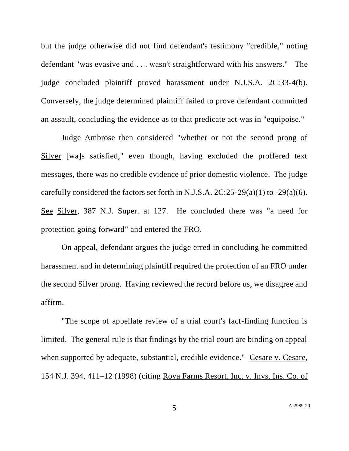but the judge otherwise did not find defendant's testimony "credible," noting defendant "was evasive and . . . wasn't straightforward with his answers." The judge concluded plaintiff proved harassment under N.J.S.A. 2C:33-4(b). Conversely, the judge determined plaintiff failed to prove defendant committed an assault, concluding the evidence as to that predicate act was in "equipoise."

Judge Ambrose then considered "whether or not the second prong of Silver [wa]s satisfied," even though, having excluded the proffered text messages, there was no credible evidence of prior domestic violence. The judge carefully considered the factors set forth in N.J.S.A.  $2C:25-29(a)(1)$  to  $-29(a)(6)$ . See Silver, 387 N.J. Super. at 127. He concluded there was "a need for protection going forward" and entered the FRO.

On appeal, defendant argues the judge erred in concluding he committed harassment and in determining plaintiff required the protection of an FRO under the second Silver prong. Having reviewed the record before us, we disagree and affirm.

"The scope of appellate review of a trial court's fact-finding function is limited. The general rule is that findings by the trial court are binding on appeal when supported by adequate, substantial, credible evidence." Cesare v. Cesare, 154 N.J. 394, 411–12 (1998) (citing Rova Farms Resort, Inc. v. Invs. Ins. Co. of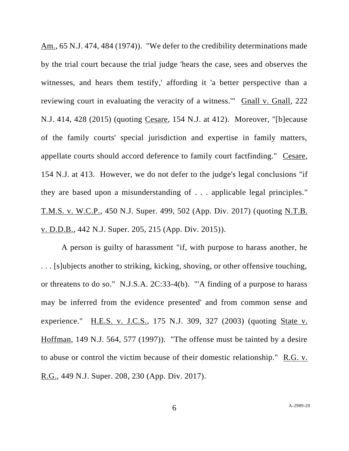Am., 65 N.J. 474, 484 (1974)). "We defer to the credibility determinations made by the trial court because the trial judge 'hears the case, sees and observes the witnesses, and hears them testify,' affording it 'a better perspective than a reviewing court in evaluating the veracity of a witness.'" Gnall v. Gnall, 222 N.J. 414, 428 (2015) (quoting Cesare, 154 N.J. at 412). Moreover, "[b]ecause of the family courts' special jurisdiction and expertise in family matters, appellate courts should accord deference to family court factfinding." Cesare, 154 N.J. at 413. However, we do not defer to the judge's legal conclusions "if they are based upon a misunderstanding of . . . applicable legal principles." T.M.S. v. W.C.P., 450 N.J. Super. 499, 502 (App. Div. 2017) (quoting N.T.B. v. D.D.B., 442 N.J. Super. 205, 215 (App. Div. 2015)).

A person is guilty of harassment "if, with purpose to harass another, he . . . [s]ubjects another to striking, kicking, shoving, or other offensive touching, or threatens to do so." N.J.S.A. 2C:33-4(b). "'A finding of a purpose to harass may be inferred from the evidence presented' and from common sense and experience." H.E.S. v. J.C.S., 175 N.J. 309, 327 (2003) (quoting State v. Hoffman, 149 N.J. 564, 577 (1997)). "The offense must be tainted by a desire to abuse or control the victim because of their domestic relationship." R.G. v. R.G., 449 N.J. Super. 208, 230 (App. Div. 2017).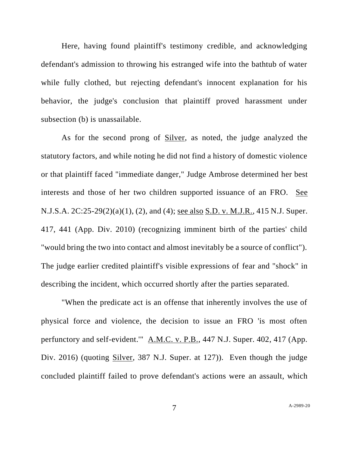Here, having found plaintiff's testimony credible, and acknowledging defendant's admission to throwing his estranged wife into the bathtub of water while fully clothed, but rejecting defendant's innocent explanation for his behavior, the judge's conclusion that plaintiff proved harassment under subsection (b) is unassailable.

As for the second prong of Silver, as noted, the judge analyzed the statutory factors, and while noting he did not find a history of domestic violence or that plaintiff faced "immediate danger," Judge Ambrose determined her best interests and those of her two children supported issuance of an FRO. See N.J.S.A. 2C:25-29(2)(a)(1), (2), and (4); see also S.D. v. M.J.R., 415 N.J. Super. 417, 441 (App. Div. 2010) (recognizing imminent birth of the parties' child "would bring the two into contact and almost inevitably be a source of conflict"). The judge earlier credited plaintiff's visible expressions of fear and "shock" in describing the incident, which occurred shortly after the parties separated.

"When the predicate act is an offense that inherently involves the use of physical force and violence, the decision to issue an FRO 'is most often perfunctory and self-evident.'" A.M.C. v. P.B., 447 N.J. Super. 402, 417 (App. Div. 2016) (quoting Silver, 387 N.J. Super. at 127)). Even though the judge concluded plaintiff failed to prove defendant's actions were an assault, which